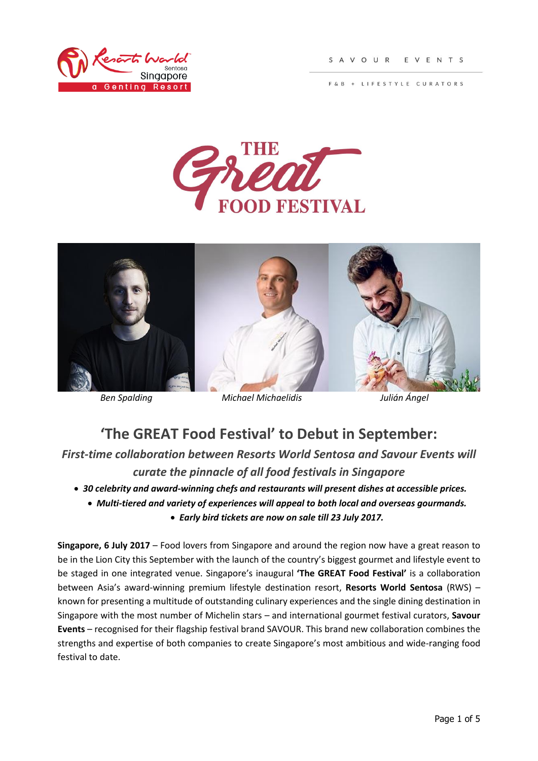

LIFESTYLE CURATORS





*Ben Spalding Michael Michaelidis Julián Ángel*

# **'The GREAT Food Festival' to Debut in September:**

*First-time collaboration between Resorts World Sentosa and Savour Events will curate the pinnacle of all food festivals in Singapore*

*30 celebrity and award-winning chefs and restaurants will present dishes at accessible prices.*

 *Multi-tiered and variety of experiences will appeal to both local and overseas gourmands. Early bird tickets are now on sale till 23 July 2017.*

**Singapore, 6 July 2017** – Food lovers from Singapore and around the region now have a great reason to be in the Lion City this September with the launch of the country's biggest gourmet and lifestyle event to be staged in one integrated venue. Singapore's inaugural **'The GREAT Food Festival'** is a collaboration between Asia's award-winning premium lifestyle destination resort, **Resorts World Sentosa** (RWS) – known for presenting a multitude of outstanding culinary experiences and the single dining destination in Singapore with the most number of Michelin stars – and international gourmet festival curators, **Savour Events** – recognised for their flagship festival brand SAVOUR. This brand new collaboration combines the strengths and expertise of both companies to create Singapore's most ambitious and wide-ranging food festival to date.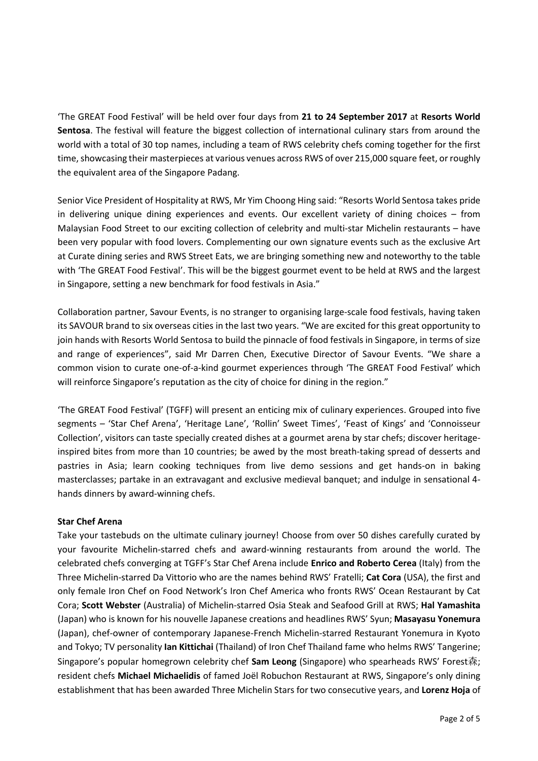'The GREAT Food Festival' will be held over four days from **21 to 24 September 2017** at **Resorts World Sentosa**. The festival will feature the biggest collection of international culinary stars from around the world with a total of 30 top names, including a team of RWS celebrity chefs coming together for the first time, showcasing their masterpieces at various venues across RWS of over 215,000 square feet, or roughly the equivalent area of the Singapore Padang.

Senior Vice President of Hospitality at RWS, Mr Yim Choong Hing said: "Resorts World Sentosa takes pride in delivering unique dining experiences and events. Our excellent variety of dining choices – from Malaysian Food Street to our exciting collection of celebrity and multi-star Michelin restaurants – have been very popular with food lovers. Complementing our own signature events such as the exclusive Art at Curate dining series and RWS Street Eats, we are bringing something new and noteworthy to the table with 'The GREAT Food Festival'. This will be the biggest gourmet event to be held at RWS and the largest in Singapore, setting a new benchmark for food festivals in Asia."

Collaboration partner, Savour Events, is no stranger to organising large-scale food festivals, having taken its SAVOUR brand to six overseas cities in the last two years. "We are excited for this great opportunity to join hands with Resorts World Sentosa to build the pinnacle of food festivals in Singapore, in terms of size and range of experiences", said Mr Darren Chen, Executive Director of Savour Events. "We share a common vision to curate one-of-a-kind gourmet experiences through 'The GREAT Food Festival' which will reinforce Singapore's reputation as the city of choice for dining in the region."

'The GREAT Food Festival' (TGFF) will present an enticing mix of culinary experiences. Grouped into five segments – 'Star Chef Arena', 'Heritage Lane', 'Rollin' Sweet Times', 'Feast of Kings' and 'Connoisseur Collection', visitors can taste specially created dishes at a gourmet arena by star chefs; discover heritageinspired bites from more than 10 countries; be awed by the most breath-taking spread of desserts and pastries in Asia; learn cooking techniques from live demo sessions and get hands-on in baking masterclasses; partake in an extravagant and exclusive medieval banquet; and indulge in sensational 4 hands dinners by award-winning chefs.

# **Star Chef Arena**

Take your tastebuds on the ultimate culinary journey! Choose from over 50 dishes carefully curated by your favourite Michelin-starred chefs and award-winning restaurants from around the world. The celebrated chefs converging at TGFF's Star Chef Arena include **Enrico and Roberto Cerea** (Italy) from the Three Michelin-starred Da Vittorio who are the names behind RWS' Fratelli; **Cat Cora** (USA), the first and only female Iron Chef on Food Network's Iron Chef America who fronts RWS' Ocean Restaurant by Cat Cora; **Scott Webster** (Australia) of Michelin-starred Osia Steak and Seafood Grill at RWS; **Hal Yamashita** (Japan) who is known for his nouvelle Japanese creations and headlines RWS' Syun; **Masayasu Yonemura** (Japan), chef-owner of contemporary Japanese-French Michelin-starred Restaurant Yonemura in Kyoto and Tokyo; TV personality **Ian Kittichai** (Thailand) of Iron Chef Thailand fame who helms RWS' Tangerine; Singapore's popular homegrown celebrity chef **Sam Leong** (Singapore) who spearheads RWS' Forest森; resident chefs **Michael Michaelidis** of famed Joël Robuchon Restaurant at RWS, Singapore's only dining establishment that has been awarded Three Michelin Stars for two consecutive years, and **Lorenz Hoja** of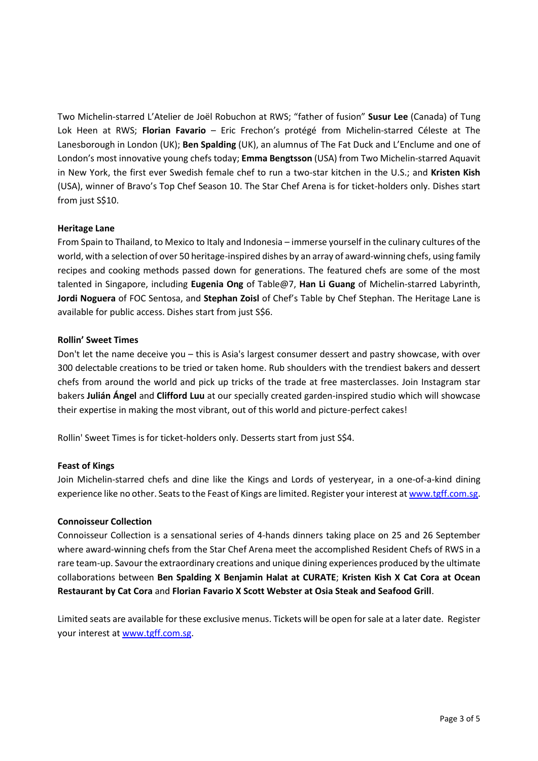Two Michelin-starred L'Atelier de Joël Robuchon at RWS; "father of fusion" **Susur Lee** (Canada) of Tung Lok Heen at RWS; **Florian Favario** – Eric Frechon's protégé from Michelin-starred Céleste at The Lanesborough in London (UK); **Ben Spalding** (UK), an alumnus of The Fat Duck and L'Enclume and one of London's most innovative young chefs today; **Emma Bengtsson** (USA) from Two Michelin-starred Aquavit in New York, the first ever Swedish female chef to run a two-star kitchen in the U.S.; and **Kristen Kish** (USA), winner of Bravo's Top Chef Season 10. The Star Chef Arena is for ticket-holders only. Dishes start from just S\$10.

## **Heritage Lane**

From Spain to Thailand, to Mexico to Italy and Indonesia – immerse yourself in the culinary cultures of the world, with a selection of over 50 heritage-inspired dishes by an array of award-winning chefs, using family recipes and cooking methods passed down for generations. The featured chefs are some of the most talented in Singapore, including **Eugenia Ong** of Table@7, **Han Li Guang** of Michelin-starred Labyrinth, **Jordi Noguera** of FOC Sentosa, and **Stephan Zoisl** of Chef's Table by Chef Stephan. The Heritage Lane is available for public access. Dishes start from just S\$6.

## **Rollin' Sweet Times**

Don't let the name deceive you – this is Asia's largest consumer dessert and pastry showcase, with over 300 delectable creations to be tried or taken home. Rub shoulders with the trendiest bakers and dessert chefs from around the world and pick up tricks of the trade at free masterclasses. Join Instagram star bakers **Julián Ángel** and **Clifford Luu** at our specially created garden-inspired studio which will showcase their expertise in making the most vibrant, out of this world and picture-perfect cakes!

Rollin' Sweet Times is for ticket-holders only. Desserts start from just S\$4.

## **Feast of Kings**

Join Michelin-starred chefs and dine like the Kings and Lords of yesteryear, in a one-of-a-kind dining experience like no other. Seats to the Feast of Kings are limited. Register your interest a[t www.tgff.com.sg.](http://www.tgff.com.sg/)

## **Connoisseur Collection**

Connoisseur Collection is a sensational series of 4-hands dinners taking place on 25 and 26 September where award-winning chefs from the Star Chef Arena meet the accomplished Resident Chefs of RWS in a rare team-up. Savour the extraordinary creations and unique dining experiences produced by the ultimate collaborations between **Ben Spalding X Benjamin Halat at CURATE**; **Kristen Kish X Cat Cora at Ocean Restaurant by Cat Cora** and **Florian Favario X Scott Webster at Osia Steak and Seafood Grill**.

Limited seats are available for these exclusive menus. Tickets will be open for sale at a later date. Register your interest a[t www.tgff.com.sg.](http://www.tgff.com.sg/)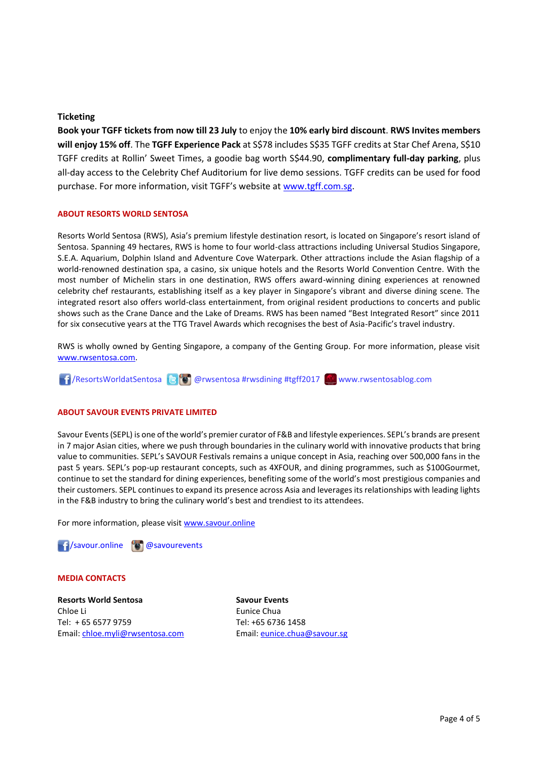### **Ticketing**

**Book your TGFF tickets from now till 23 July** to enjoy the **10% early bird discount**. **RWS Invites members will enjoy 15% off**. The **TGFF Experience Pack** at S\$78 includes S\$35 TGFF credits at Star Chef Arena, S\$10 TGFF credits at Rollin' Sweet Times, a goodie bag worth S\$44.90, **complimentary full-day parking**, plus all-day access to the Celebrity Chef Auditorium for live demo sessions. TGFF credits can be used for food purchase. For more information, visit TGFF's website at [www.tgff.com.sg.](http://www.tgff.com.sg/)

#### **ABOUT RESORTS WORLD SENTOSA**

Resorts World Sentosa (RWS), Asia's premium lifestyle destination resort, is located on Singapore's resort island of Sentosa. Spanning 49 hectares, RWS is home to four world-class attractions including Universal Studios Singapore, S.E.A. Aquarium, Dolphin Island and Adventure Cove Waterpark. Other attractions include the Asian flagship of a world-renowned destination spa, a casino, six unique hotels and the Resorts World Convention Centre. With the most number of Michelin stars in one destination, RWS offers award-winning dining experiences at renowned celebrity chef restaurants, establishing itself as a key player in Singapore's vibrant and diverse dining scene. The integrated resort also offers world-class entertainment, from original resident productions to concerts and public shows such as the Crane Dance and the Lake of Dreams. RWS has been named "Best Integrated Resort" since 2011 for six consecutive years at the TTG Travel Awards which recognises the best of Asia-Pacific's travel industry.

RWS is wholly owned by Genting Singapore, a company of the Genting Group. For more information, please visit [www.rwsentosa.com.](http://www.rwsentosa.com/)

17 / ResortsWorldatSentosa 8 0 @rwsentosa #rwsdining #tgff2017 Www.rwsentosablog.com

#### **ABOUT SAVOUR EVENTS PRIVATE LIMITED**

Savour Events (SEPL) is one of the world's premier curator of F&B and lifestyle experiences. SEPL's brands are present in 7 major Asian cities, where we push through boundaries in the culinary world with innovative products that bring value to communities. SEPL's SAVOUR Festivals remains a unique concept in Asia, reaching over 500,000 fans in the past 5 years. SEPL's pop-up restaurant concepts, such as 4XFOUR, and dining programmes, such as \$100Gourmet, continue to set the standard for dining experiences, benefiting some of the world's most prestigious companies and their customers. SEPL continues to expand its presence across Asia and leverages its relationships with leading lights in the F&B industry to bring the culinary world's best and trendiest to its attendees.

For more information, please visi[t www.savour.online](http://www.savour.online/)



**MEDIA CONTACTS**

**Resorts World Sentosa** Chloe Li Tel: + 65 6577 9759 Email: [chloe.myli@rwsentosa.com](mailto:chloe.myli@rwsentosa.com) **Savour Events** Eunice Chua Tel: +65 6736 1458 Email[: eunice.chua@savour.sg](mailto:eunice.chua@savour.sg)